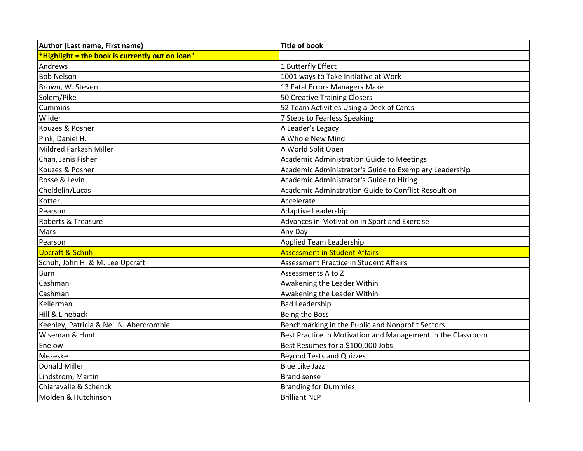| Author (Last name, First name)                  | <b>Title of book</b>                                        |
|-------------------------------------------------|-------------------------------------------------------------|
| *Highlight = the book is currently out on loan" |                                                             |
| Andrews                                         | 1 Butterfly Effect                                          |
| <b>Bob Nelson</b>                               | 1001 ways to Take Initiative at Work                        |
| Brown, W. Steven                                | 13 Fatal Errors Managers Make                               |
| Solem/Pike                                      | 50 Creative Training Closers                                |
| <b>Cummins</b>                                  | 52 Team Activities Using a Deck of Cards                    |
| Wilder                                          | 7 Steps to Fearless Speaking                                |
| Kouzes & Posner                                 | A Leader's Legacy                                           |
| Pink, Daniel H.                                 | A Whole New Mind                                            |
| Mildred Farkash Miller                          | A World Split Open                                          |
| Chan, Janis Fisher                              | Academic Administration Guide to Meetings                   |
| Kouzes & Posner                                 | Academic Administrator's Guide to Exemplary Leadership      |
| Rosse & Levin                                   | Academic Administrator's Guide to Hiring                    |
| Cheldelin/Lucas                                 | Academic Adminstration Guide to Conflict Resoultion         |
| Kotter                                          | Accelerate                                                  |
| Pearson                                         | Adaptive Leadership                                         |
| Roberts & Treasure                              | Advances in Motivation in Sport and Exercise                |
| Mars                                            | Any Day                                                     |
| Pearson                                         | <b>Applied Team Leadership</b>                              |
| Upcraft & Schuh                                 | <b>Assessment in Student Affairs</b>                        |
| Schuh, John H. & M. Lee Upcraft                 | <b>Assessment Practice in Student Affairs</b>               |
| <b>Burn</b>                                     | Assessments A to Z                                          |
| Cashman                                         | Awakening the Leader Within                                 |
| Cashman                                         | Awakening the Leader Within                                 |
| Kellerman                                       | <b>Bad Leadership</b>                                       |
| Hill & Lineback                                 | Being the Boss                                              |
| Keehley, Patricia & Neil N. Abercrombie         | Benchmarking in the Public and Nonprofit Sectors            |
| Wiseman & Hunt                                  | Best Practice in Motivation and Management in the Classroom |
| Enelow                                          | Best Resumes for a \$100,000 Jobs                           |
| Mezeske                                         | <b>Beyond Tests and Quizzes</b>                             |
| Donald Miller                                   | <b>Blue Like Jazz</b>                                       |
| Lindstrom, Martin                               | <b>Brand sense</b>                                          |
| Chiaravalle & Schenck                           | <b>Branding for Dummies</b>                                 |
| Molden & Hutchinson                             | <b>Brilliant NLP</b>                                        |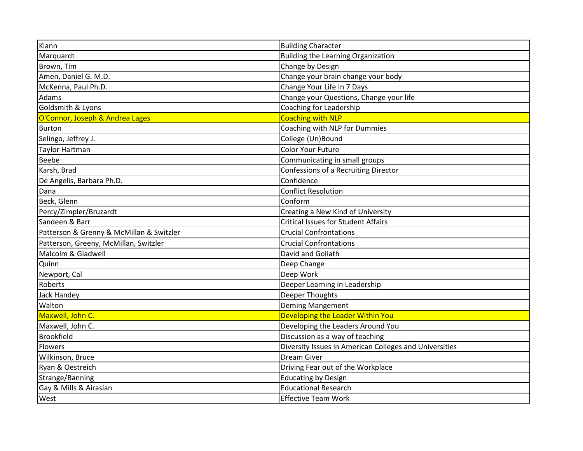| Klann                                    | <b>Building Character</b>                              |
|------------------------------------------|--------------------------------------------------------|
| Marquardt                                | <b>Building the Learning Organization</b>              |
| Brown, Tim                               | Change by Design                                       |
| Amen, Daniel G. M.D.                     | Change your brain change your body                     |
| McKenna, Paul Ph.D.                      | Change Your Life In 7 Days                             |
| Adams                                    | Change your Questions, Change your life                |
| Goldsmith & Lyons                        | Coaching for Leadership                                |
| O'Connor, Joseph & Andrea Lages          | <b>Coaching with NLP</b>                               |
| <b>Burton</b>                            | Coaching with NLP for Dummies                          |
| Selingo, Jeffrey J.                      | College (Un)Bound                                      |
| <b>Taylor Hartman</b>                    | <b>Color Your Future</b>                               |
| <b>Beebe</b>                             | Communicating in small groups                          |
| Karsh, Brad                              | Confessions of a Recruiting Director                   |
| De Angelis, Barbara Ph.D.                | Confidence                                             |
| Dana                                     | <b>Conflict Resolution</b>                             |
| Beck, Glenn                              | Conform                                                |
| Percy/Zimpler/Bruzardt                   | Creating a New Kind of University                      |
| Sandeen & Barr                           | <b>Critical Issues for Student Affairs</b>             |
| Patterson & Grenny & McMillan & Switzler | <b>Crucial Confrontations</b>                          |
| Patterson, Greeny, McMillan, Switzler    | <b>Crucial Confrontations</b>                          |
| Malcolm & Gladwell                       | David and Goliath                                      |
| Quinn                                    | Deep Change                                            |
| Newport, Cal                             | Deep Work                                              |
| Roberts                                  | Deeper Learning in Leadership                          |
| <b>Jack Handey</b>                       | Deeper Thoughts                                        |
| Walton                                   | <b>Deming Mangement</b>                                |
| Maxwell, John C.                         | Developing the Leader Within You                       |
| Maxwell, John C.                         | Developing the Leaders Around You                      |
| <b>Brookfield</b>                        | Discussion as a way of teaching                        |
| Flowers                                  | Diversity Issues in American Colleges and Universities |
| Wilkinson, Bruce                         | <b>Dream Giver</b>                                     |
| Ryan & Oestreich                         | Driving Fear out of the Workplace                      |
| Strange/Banning                          | <b>Educating by Design</b>                             |
| Gay & Mills & Airasian                   | <b>Educational Research</b>                            |
| West                                     | <b>Effective Team Work</b>                             |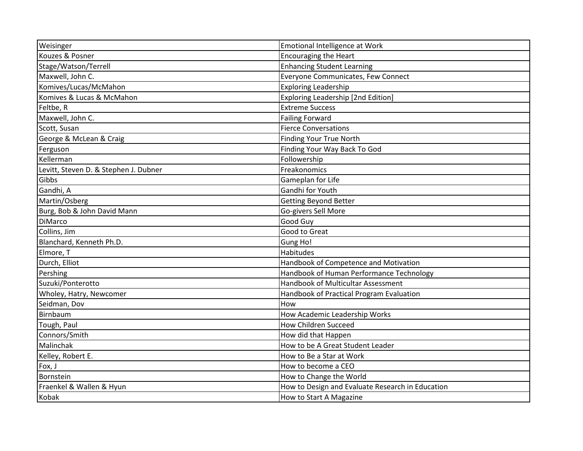| Weisinger                             | Emotional Intelligence at Work                   |
|---------------------------------------|--------------------------------------------------|
| Kouzes & Posner                       | <b>Encouraging the Heart</b>                     |
| Stage/Watson/Terrell                  | <b>Enhancing Student Learning</b>                |
| Maxwell, John C.                      | Everyone Communicates, Few Connect               |
| Komives/Lucas/McMahon                 | <b>Exploring Leadership</b>                      |
| Komives & Lucas & McMahon             | <b>Exploring Leadership [2nd Edition]</b>        |
| Feltbe, R                             | <b>Extreme Success</b>                           |
| Maxwell, John C.                      | <b>Failing Forward</b>                           |
| Scott, Susan                          | <b>Fierce Conversations</b>                      |
| George & McLean & Craig               | <b>Finding Your True North</b>                   |
| Ferguson                              | Finding Your Way Back To God                     |
| Kellerman                             | Followership                                     |
| Levitt, Steven D. & Stephen J. Dubner | Freakonomics                                     |
| Gibbs                                 | Gameplan for Life                                |
| Gandhi, A                             | Gandhi for Youth                                 |
| Martin/Osberg                         | <b>Getting Beyond Better</b>                     |
| Burg, Bob & John David Mann           | Go-givers Sell More                              |
| <b>DiMarco</b>                        | Good Guy                                         |
| Collins, Jim                          | Good to Great                                    |
| Blanchard, Kenneth Ph.D.              | Gung Ho!                                         |
| Elmore, T                             | Habitudes                                        |
| Durch, Elliot                         | Handbook of Competence and Motivation            |
| Pershing                              | Handbook of Human Performance Technology         |
| Suzuki/Ponterotto                     | <b>Handbook of Multicultar Assessment</b>        |
| Wholey, Hatry, Newcomer               | Handbook of Practical Program Evaluation         |
| Seidman, Dov                          | How                                              |
| Birnbaum                              | How Academic Leadership Works                    |
| Tough, Paul                           | <b>How Children Succeed</b>                      |
| Connors/Smith                         | How did that Happen                              |
| Malinchak                             | How to be A Great Student Leader                 |
| Kelley, Robert E.                     | How to Be a Star at Work                         |
| Fox, J                                | How to become a CEO                              |
| Bornstein                             | How to Change the World                          |
| Fraenkel & Wallen & Hyun              | How to Design and Evaluate Research in Education |
| Kobak                                 | How to Start A Magazine                          |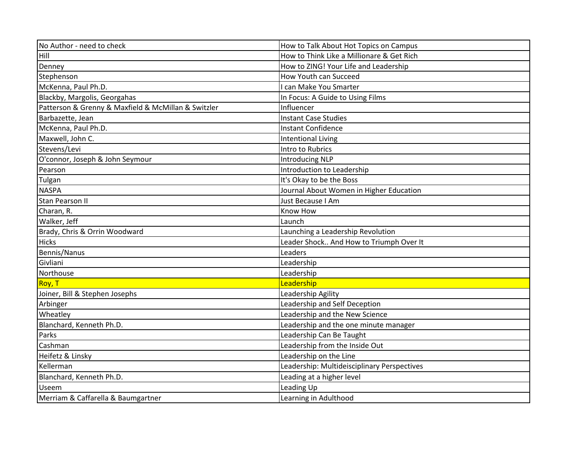| No Author - need to check                           | How to Talk About Hot Topics on Campus      |
|-----------------------------------------------------|---------------------------------------------|
| Hill                                                | How to Think Like a Millionare & Get Rich   |
| Denney                                              | How to ZING! Your Life and Leadership       |
| Stephenson                                          | How Youth can Succeed                       |
| McKenna, Paul Ph.D.                                 | can Make You Smarter                        |
| Blackby, Margolis, Georgahas                        | In Focus: A Guide to Using Films            |
| Patterson & Grenny & Maxfield & McMillan & Switzler | Influencer                                  |
| Barbazette, Jean                                    | <b>Instant Case Studies</b>                 |
| McKenna, Paul Ph.D.                                 | <b>Instant Confidence</b>                   |
| Maxwell, John C.                                    | <b>Intentional Living</b>                   |
| Stevens/Levi                                        | Intro to Rubrics                            |
| O'connor, Joseph & John Seymour                     | <b>Introducing NLP</b>                      |
| Pearson                                             | Introduction to Leadership                  |
| Tulgan                                              | It's Okay to be the Boss                    |
| <b>NASPA</b>                                        | Journal About Women in Higher Education     |
| <b>Stan Pearson II</b>                              | Just Because I Am                           |
| Charan, R.                                          | Know How                                    |
| Walker, Jeff                                        | Launch                                      |
| Brady, Chris & Orrin Woodward                       | Launching a Leadership Revolution           |
| <b>Hicks</b>                                        | Leader Shock And How to Triumph Over It     |
| Bennis/Nanus                                        | Leaders                                     |
| Givliani                                            | Leadership                                  |
| Northouse                                           | Leadership                                  |
| Roy, T                                              | Leadership                                  |
| Joiner, Bill & Stephen Josephs                      | Leadership Agility                          |
| Arbinger                                            | Leadership and Self Deception               |
| Wheatley                                            | Leadership and the New Science              |
| Blanchard, Kenneth Ph.D.                            | Leadership and the one minute manager       |
| Parks                                               | Leadership Can Be Taught                    |
| Cashman                                             | Leadership from the Inside Out              |
| Heifetz & Linsky                                    | Leadership on the Line                      |
| Kellerman                                           | Leadership: Multideisciplinary Perspectives |
| Blanchard, Kenneth Ph.D.                            | Leading at a higher level                   |
| <b>Useem</b>                                        | Leading Up                                  |
| Merriam & Caffarella & Baumgartner                  | Learning in Adulthood                       |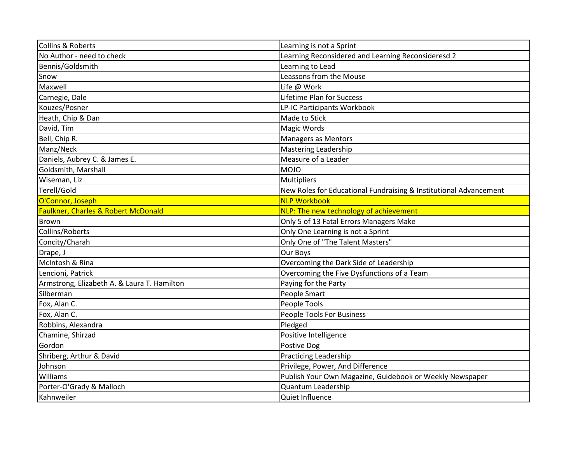| Collins & Roberts                           | Learning is not a Sprint                                          |
|---------------------------------------------|-------------------------------------------------------------------|
| No Author - need to check                   | Learning Reconsidered and Learning Reconsideresd 2                |
| Bennis/Goldsmith                            | Learning to Lead                                                  |
| Snow                                        | Leassons from the Mouse                                           |
| Maxwell                                     | Life @ Work                                                       |
| Carnegie, Dale                              | <b>Lifetime Plan for Success</b>                                  |
| Kouzes/Posner                               | LP-IC Participants Workbook                                       |
| Heath, Chip & Dan                           | Made to Stick                                                     |
| David, Tim                                  | Magic Words                                                       |
| Bell, Chip R.                               | Managers as Mentors                                               |
| Manz/Neck                                   | <b>Mastering Leadership</b>                                       |
| Daniels, Aubrey C. & James E.               | Measure of a Leader                                               |
| Goldsmith, Marshall                         | <b>MOJO</b>                                                       |
| Wiseman, Liz                                | <b>Multipliers</b>                                                |
| Terell/Gold                                 | New Roles for Educational Fundraising & Institutional Advancement |
| O'Connor, Joseph                            | <b>NLP Workbook</b>                                               |
| Faulkner, Charles & Robert McDonald         | NLP: The new technology of achievement                            |
| <b>Brown</b>                                | Only 5 of 13 Fatal Errors Managers Make                           |
| Collins/Roberts                             | Only One Learning is not a Sprint                                 |
| Concity/Charah                              | Only One of "The Talent Masters"                                  |
| Drape, J                                    | Our Boys                                                          |
| McIntosh & Rina                             | Overcoming the Dark Side of Leadership                            |
| Lencioni, Patrick                           | Overcoming the Five Dysfunctions of a Team                        |
| Armstrong, Elizabeth A. & Laura T. Hamilton | Paying for the Party                                              |
| Silberman                                   | People Smart                                                      |
| Fox, Alan C.                                | People Tools                                                      |
| Fox, Alan C.                                | People Tools For Business                                         |
| Robbins, Alexandra                          | Pledged                                                           |
| Chamine, Shirzad                            | Positive Intelligence                                             |
| Gordon                                      | Postive Dog                                                       |
| Shriberg, Arthur & David                    | <b>Practicing Leadership</b>                                      |
| Johnson                                     | Privilege, Power, And Difference                                  |
| Williams                                    | Publish Your Own Magazine, Guidebook or Weekly Newspaper          |
| Porter-O'Grady & Malloch                    | Quantum Leadership                                                |
| Kahnweiler                                  | Quiet Influence                                                   |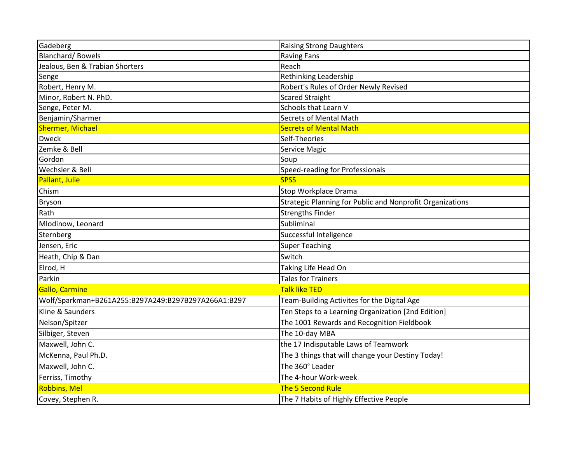| Gadeberg                                            | <b>Raising Strong Daughters</b>                           |
|-----------------------------------------------------|-----------------------------------------------------------|
| <b>Blanchard/Bowels</b>                             | <b>Raving Fans</b>                                        |
| Jealous, Ben & Trabian Shorters                     | Reach                                                     |
| Senge                                               | Rethinking Leadership                                     |
| Robert, Henry M.                                    | Robert's Rules of Order Newly Revised                     |
| Minor, Robert N. PhD.                               | <b>Scared Straight</b>                                    |
| Senge, Peter M.                                     | Schools that Learn V                                      |
| Benjamin/Sharmer                                    | Secrets of Mental Math                                    |
| <b>Shermer, Michael</b>                             | <b>Secrets of Mental Math</b>                             |
| <b>Dweck</b>                                        | Self-Theories                                             |
| Zemke & Bell                                        | Service Magic                                             |
| Gordon                                              | Soup                                                      |
| Wechsler & Bell                                     | Speed-reading for Professionals                           |
| Pallant, Julie                                      | <b>SPSS</b>                                               |
| Chism                                               | Stop Workplace Drama                                      |
| Bryson                                              | Strategic Planning for Public and Nonprofit Organizations |
| Rath                                                | <b>Strengths Finder</b>                                   |
| Mlodinow, Leonard                                   | Subliminal                                                |
| Sternberg                                           | Successful Inteligence                                    |
| Jensen, Eric                                        | <b>Super Teaching</b>                                     |
| Heath, Chip & Dan                                   | Switch                                                    |
| Elrod, H                                            | Taking Life Head On                                       |
| Parkin                                              | <b>Tales for Trainers</b>                                 |
| Gallo, Carmine                                      | <b>Talk like TED</b>                                      |
| Wolf/Sparkman+B261A255:B297A249:B297B297A266A1:B297 | Team-Building Activites for the Digital Age               |
| Kline & Saunders                                    | Ten Steps to a Learning Organization [2nd Edition]        |
| Nelson/Spitzer                                      | The 1001 Rewards and Recognition Fieldbook                |
| Silbiger, Steven                                    | The 10-day MBA                                            |
| Maxwell, John C.                                    | the 17 Indisputable Laws of Teamwork                      |
| McKenna, Paul Ph.D.                                 | The 3 things that will change your Destiny Today!         |
| Maxwell, John C.                                    | The 360° Leader                                           |
| Ferriss, Timothy                                    | The 4-hour Work-week                                      |
| Robbins, Mel                                        | The 5 Second Rule                                         |
| Covey, Stephen R.                                   | The 7 Habits of Highly Effective People                   |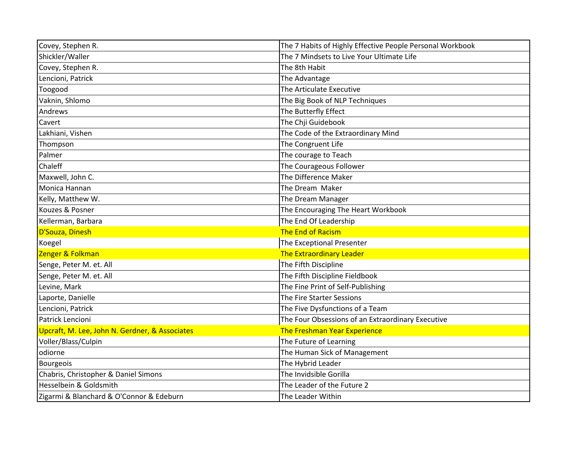| Covey, Stephen R.                              | The 7 Habits of Highly Effective People Personal Workbook |
|------------------------------------------------|-----------------------------------------------------------|
| Shickler/Waller                                | The 7 Mindsets to Live Your Ultimate Life                 |
| Covey, Stephen R.                              | The 8th Habit                                             |
| Lencioni, Patrick                              | The Advantage                                             |
| Toogood                                        | The Articulate Executive                                  |
| Vaknin, Shlomo                                 | The Big Book of NLP Techniques                            |
| Andrews                                        | The Butterfly Effect                                      |
| Cavert                                         | The Chji Guidebook                                        |
| Lakhiani, Vishen                               | The Code of the Extraordinary Mind                        |
| Thompson                                       | The Congruent Life                                        |
| Palmer                                         | The courage to Teach                                      |
| Chaleff                                        | The Courageous Follower                                   |
| Maxwell, John C.                               | The Difference Maker                                      |
| Monica Hannan                                  | The Dream Maker                                           |
| Kelly, Matthew W.                              | The Dream Manager                                         |
| Kouzes & Posner                                | The Encouraging The Heart Workbook                        |
| Kellerman, Barbara                             | The End Of Leadership                                     |
| D'Souza, Dinesh                                | The End of Racism                                         |
| Koegel                                         | The Exceptional Presenter                                 |
| Zenger & Folkman                               | <b>The Extraordinary Leader</b>                           |
| Senge, Peter M. et. All                        | The Fifth Discipline                                      |
| Senge, Peter M. et. All                        | The Fifth Discipline Fieldbook                            |
| Levine, Mark                                   | The Fine Print of Self-Publishing                         |
| Laporte, Danielle                              | The Fire Starter Sessions                                 |
| Lencioni, Patrick                              | The Five Dysfunctions of a Team                           |
| Patrick Lencioni                               | The Four Obsessions of an Extraordinary Executive         |
| Upcraft, M. Lee, John N. Gerdner, & Associates | <b>The Freshman Year Experience</b>                       |
| Voller/Blass/Culpin                            | The Future of Learning                                    |
| odiorne                                        | The Human Sick of Management                              |
| <b>Bourgeois</b>                               | The Hybrid Leader                                         |
| Chabris, Christopher & Daniel Simons           | The Invidsible Gorilla                                    |
| Hesselbein & Goldsmith                         | The Leader of the Future 2                                |
| Zigarmi & Blanchard & O'Connor & Edeburn       | The Leader Within                                         |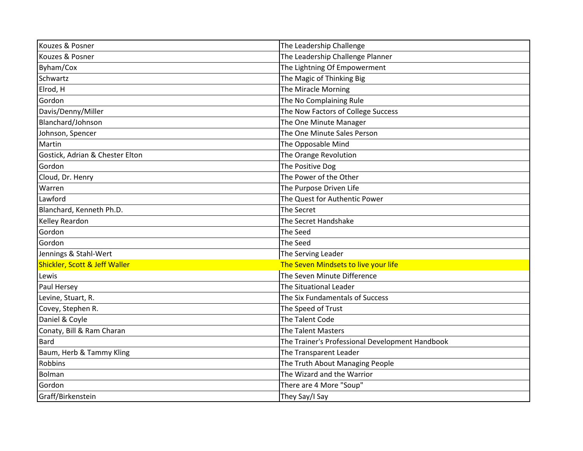| Kouzes & Posner                 | The Leadership Challenge                        |
|---------------------------------|-------------------------------------------------|
| Kouzes & Posner                 | The Leadership Challenge Planner                |
| Byham/Cox                       | The Lightning Of Empowerment                    |
| Schwartz                        | The Magic of Thinking Big                       |
| Elrod, H                        | The Miracle Morning                             |
| Gordon                          | The No Complaining Rule                         |
| Davis/Denny/Miller              | The Now Factors of College Success              |
| Blanchard/Johnson               | The One Minute Manager                          |
| Johnson, Spencer                | The One Minute Sales Person                     |
| Martin                          | The Opposable Mind                              |
| Gostick, Adrian & Chester Elton | The Orange Revolution                           |
| Gordon                          | The Positive Dog                                |
| Cloud, Dr. Henry                | The Power of the Other                          |
| Warren                          | The Purpose Driven Life                         |
| Lawford                         | The Quest for Authentic Power                   |
| Blanchard, Kenneth Ph.D.        | The Secret                                      |
| Kelley Reardon                  | The Secret Handshake                            |
| Gordon                          | The Seed                                        |
| Gordon                          | The Seed                                        |
| Jennings & Stahl-Wert           | The Serving Leader                              |
| Shickler, Scott & Jeff Waller   | The Seven Mindsets to live your life            |
| Lewis                           | The Seven Minute Difference                     |
| Paul Hersey                     | <b>The Situational Leader</b>                   |
| Levine, Stuart, R.              | The Six Fundamentals of Success                 |
| Covey, Stephen R.               | The Speed of Trust                              |
| Daniel & Coyle                  | The Talent Code                                 |
| Conaty, Bill & Ram Charan       | <b>The Talent Masters</b>                       |
| <b>Bard</b>                     | The Trainer's Professional Development Handbook |
| Baum, Herb & Tammy Kling        | The Transparent Leader                          |
| Robbins                         | The Truth About Managing People                 |
| Bolman                          | The Wizard and the Warrior                      |
| Gordon                          | There are 4 More "Soup"                         |
| Graff/Birkenstein               | They Say/I Say                                  |